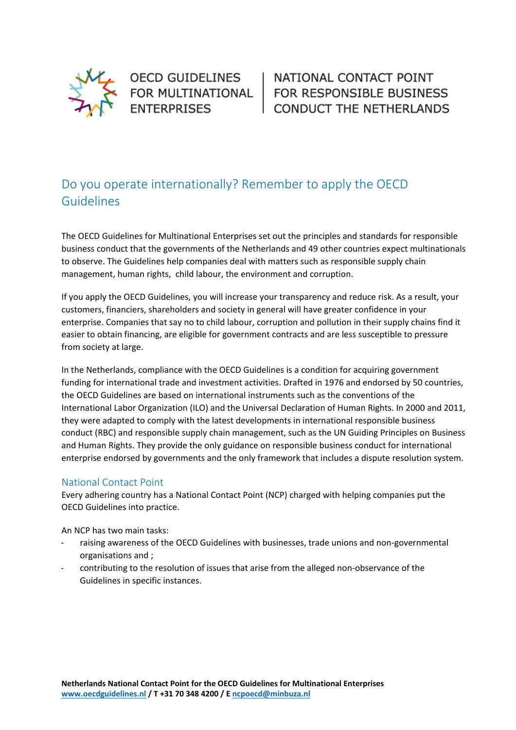

OECD GUIDELINES **ENTERPRISES** 

OECD GUIDELINES | NATIONAL CONTACT POINT<br>FOR MULTINATIONAL | FOR RESPONSIBLE BUSINESS **CONDUCT THE NETHERLANDS** 

## Do you operate internationally? Remember to apply the OECD Guidelines

The OECD Guidelines for Multinational Enterprises set out the principles and standards for responsible business conduct that the governments of the Netherlands and 49 other countries expect multinationals to observe. The Guidelines help companies deal with matters such as responsible supply chain management, human rights, child labour, the environment and corruption.

If you apply the OECD Guidelines, you will increase your transparency and reduce risk. As a result, your customers, financiers, shareholders and society in general will have greater confidence in your enterprise. Companies that say no to child labour, corruption and pollution in their supply chains find it easier to obtain financing, are eligible for government contracts and are less susceptible to pressure from society at large.

In the Netherlands, compliance with the OECD Guidelines is a condition for acquiring government funding for international trade and investment activities. Drafted in 1976 and endorsed by 50 countries, the OECD Guidelines are based on international instruments such as the conventions of the International Labor Organization (ILO) and the Universal Declaration of Human Rights. In 2000 and 2011, they were adapted to comply with the latest developments in international responsible business conduct (RBC) and responsible supply chain management, such as the UN Guiding Principles on Business and Human Rights. They provide the only guidance on responsible business conduct for international enterprise endorsed by governments and the only framework that includes a dispute resolution system.

## National Contact Point

Every adhering country has a National Contact Point (NCP) charged with helping companies put the OECD Guidelines into practice.

An NCP has two main tasks:

- raising awareness of the OECD Guidelines with businesses, trade unions and non-governmental organisations and ;
- contributing to the resolution of issues that arise from the alleged non-observance of the Guidelines in specific instances.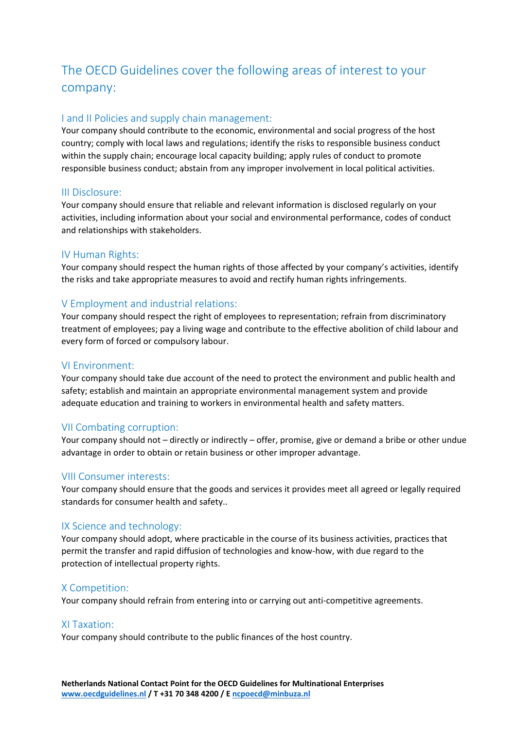# The OECD Guidelines cover the following areas of interest to your company:

## I and II Policies and supply chain management:

Your company should contribute to the economic, environmental and social progress of the host country; comply with local laws and regulations; identify the risks to responsible business conduct within the supply chain; encourage local capacity building; apply rules of conduct to promote responsible business conduct; abstain from any improper involvement in local political activities.

## III Disclosure:

Your company should ensure that reliable and relevant information is disclosed regularly on your activities, including information about your social and environmental performance, codes of conduct and relationships with stakeholders.

## IV Human Rights:

Your company should respect the human rights of those affected by your company's activities, identify the risks and take appropriate measures to avoid and rectify human rights infringements.

## V Employment and industrial relations:

Your company should respect the right of employees to representation; refrain from discriminatory treatment of employees; pay a living wage and contribute to the effective abolition of child labour and every form of forced or compulsory labour.

#### VI Environment:

Your company should take due account of the need to protect the environment and public health and safety; establish and maintain an appropriate environmental management system and provide adequate education and training to workers in environmental health and safety matters.

#### VII Combating corruption:

Your company should not – directly or indirectly – offer, promise, give or demand a bribe or other undue advantage in order to obtain or retain business or other improper advantage.

#### VIII Consumer interests:

Your company should ensure that the goods and services it provides meet all agreed or legally required standards for consumer health and safety..

#### IX Science and technology:

Your company should adopt, where practicable in the course of its business activities, practices that permit the transfer and rapid diffusion of technologies and know-how, with due regard to the protection of intellectual property rights.

#### X Competition:

Your company should refrain from entering into or carrying out anti-competitive agreements.

#### XI Taxation:

Your company should contribute to the public finances of the host country.